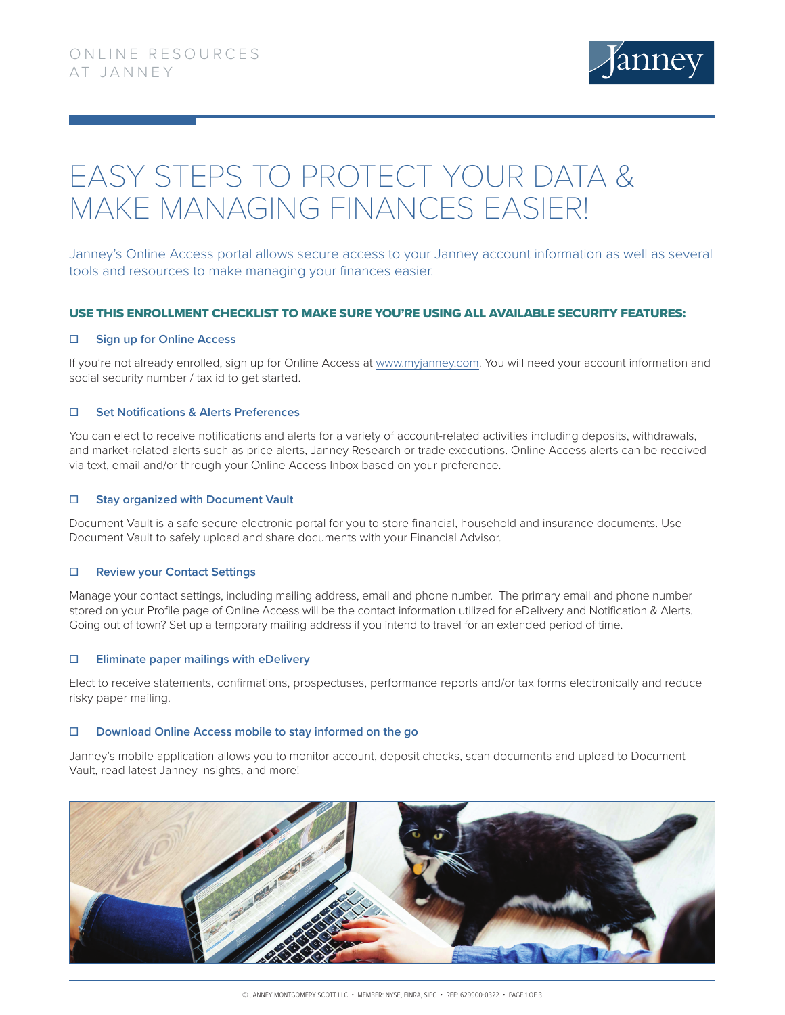

# EASY STEPS TO PROTECT YOUR DATA & MAKE MANAGING FINANCES EASIER!

Janney's Online Access portal allows secure access to your Janney account information as well as several tools and resources to make managing your finances easier.

# USE THIS ENROLLMENT CHECKLIST TO MAKE SURE YOU'RE USING ALL AVAILABLE SECURITY FEATURES:

## **☐ Sign up for Online Access**

If you're not already enrolled, sign up for Online Access at [www.myjanney.com.](http://www.myjanney.com) You will need your account information and social security number / tax id to get started.

## **☐ Set Notifications & Alerts Preferences**

You can elect to receive notifications and alerts for a variety of account-related activities including deposits, withdrawals, and market-related alerts such as price alerts, Janney Research or trade executions. Online Access alerts can be received via text, email and/or through your Online Access Inbox based on your preference.

## **☐ Stay organized with Document Vault**

Document Vault is a safe secure electronic portal for you to store financial, household and insurance documents. Use Document Vault to safely upload and share documents with your Financial Advisor.

#### **☐ Review your Contact Settings**

Manage your contact settings, including mailing address, email and phone number. The primary email and phone number stored on your Profile page of Online Access will be the contact information utilized for eDelivery and Notification & Alerts. Going out of town? Set up a temporary mailing address if you intend to travel for an extended period of time.

#### **☐ Eliminate paper mailings with eDelivery**

Elect to receive statements, confirmations, prospectuses, performance reports and/or tax forms electronically and reduce risky paper mailing.

#### **☐ Download Online Access mobile to stay informed on the go**

Janney's mobile application allows you to monitor account, deposit checks, scan documents and upload to Document Vault, read latest Janney Insights, and more!

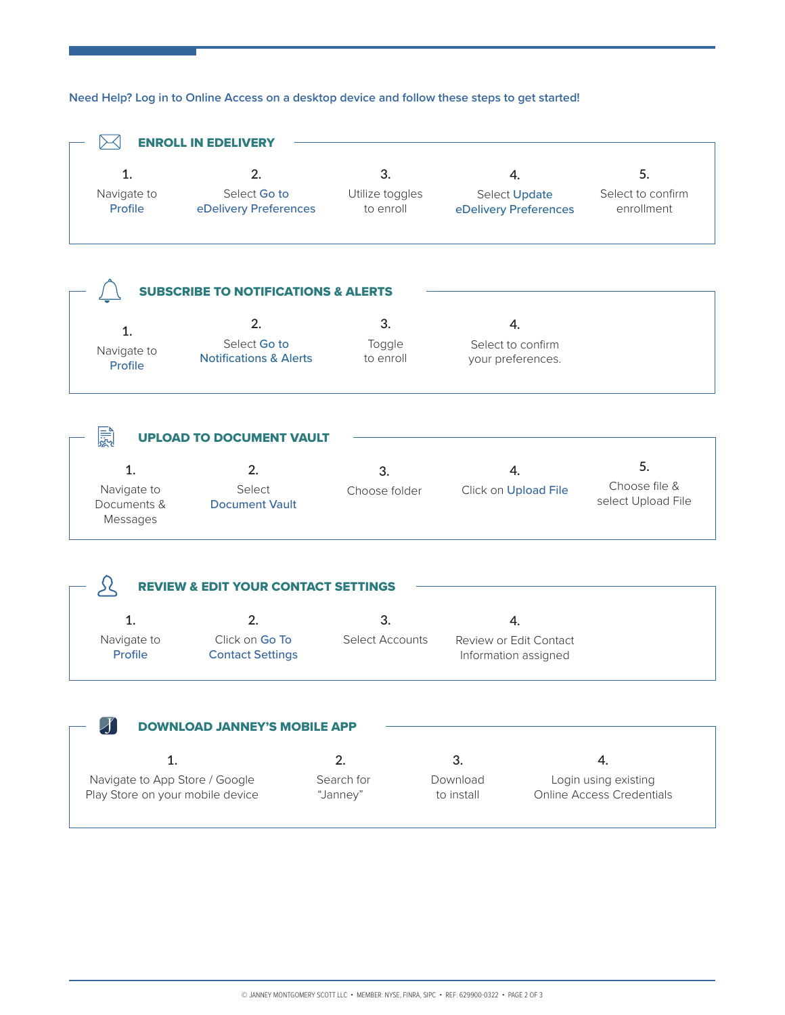# **Need Help? Log in to Online Access on a desktop device and follow these steps to get started!**



| <b>DOWNLOAD JANNEY'S MOBILE APP</b> |            |            |                           |  |
|-------------------------------------|------------|------------|---------------------------|--|
|                                     |            |            |                           |  |
| Navigate to App Store / Google      | Search for | Download   | Login using existing      |  |
| Play Store on your mobile device    | "Janney"   | to install | Online Access Credentials |  |
|                                     |            |            |                           |  |